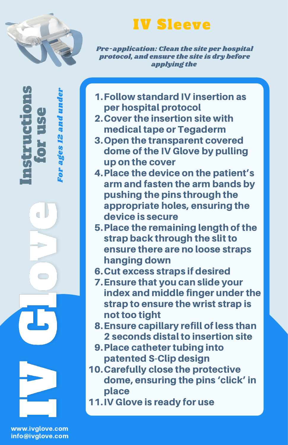

 $\mathbf{e}$  . rE,  $\bm{U}_t$ e

Fo r a ge s. - 1 N a n dun der

In $\bm{U}_t$ trE, c

Ò

tio

n $\bm{U}_t$ 

## IV Sleeve

Pre-application: Clean the site per hospital protocol, and ensure the site is dry before applying the

- Follow standard IV insertion as 1. per hospital protocol
- 2. Cover the insertion site with medical tape or Tegaderm
- 3. Open the transparent covered dome of the IV Glove by pulling up on the cover
- Place the device on the patient's 4. arm and fasten the arm bands by pushing the pins through the appropriate holes, ensuring the device is secure
- 5. Place the remaining length of the strap back through the slit to ensure there are no loose straps hanging down
- 6. Cut excess straps if desired
- Ensure that you can slide your 7. index and middle finger under the strap to ensure the wrist strap is not too tight
- Ensure capillary refill of less than 8. 2 seconds distal to insertion site
- 9. Place catheter tubing into patented S-Clip design
- 10. Carefully close the protective dome, ensuring the pins 'click' in place
- 11. IV Glove is ready for use

www.ivglove.com info@ivglove.com